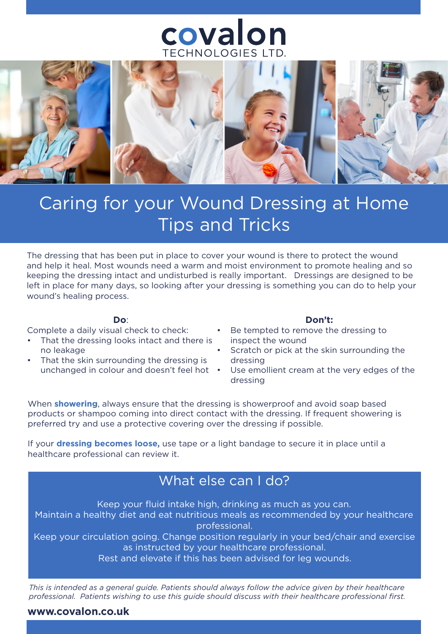## covalon TECHNOLOGIES LTD



# Caring for your Wound Dressing at Home Tips and Tricks

The dressing that has been put in place to cover your wound is there to protect the wound and help it heal. Most wounds need a warm and moist environment to promote healing and so keeping the dressing intact and undisturbed is really important. Dressings are designed to be left in place for many days, so looking after your dressing is something you can do to help your wound's healing process.

#### **Do**:

Complete a daily visual check to check:

- That the dressing looks intact and there is no leakage
- That the skin surrounding the dressing is unchanged in colour and doesn't feel hot •

#### **Don't:**

- Be tempted to remove the dressing to inspect the wound
- Scratch or pick at the skin surrounding the dressing
- Use emollient cream at the very edges of the dressing

When **showering**, always ensure that the dressing is showerproof and avoid soap based products or shampoo coming into direct contact with the dressing. If frequent showering is preferred try and use a protective covering over the dressing if possible.

If your **dressing becomes loose,** use tape or a light bandage to secure it in place until a healthcare professional can review it.

### What else can I do?

Keep your fluid intake high, drinking as much as you can.

Maintain a healthy diet and eat nutritious meals as recommended by your healthcare professional.

Keep your circulation going. Change position regularly in your bed/chair and exercise as instructed by your healthcare professional.

Rest and elevate if this has been advised for leg wounds.

*This is intended as a general guide. Patients should always follow the advice given by their healthcare professional. Patients wishing to use this guide should discuss with their healthcare professional first.*

### **www.covalon.co.uk**